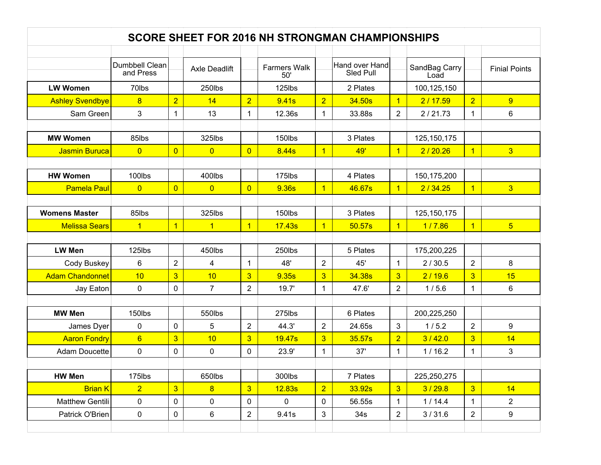| <b>SCORE SHEET FOR 2016 NH STRONGMAN CHAMPIONSHIPS</b> |                             |                |                      |                |                            |                |                             |                |                       |                |                      |
|--------------------------------------------------------|-----------------------------|----------------|----------------------|----------------|----------------------------|----------------|-----------------------------|----------------|-----------------------|----------------|----------------------|
|                                                        |                             |                |                      |                |                            |                |                             |                |                       |                |                      |
|                                                        | Dumbbell Clean<br>and Press |                | <b>Axle Deadlift</b> |                | <b>Farmers Walk</b><br>50' |                | Hand over Hand<br>Sled Pull |                | SandBag Carry<br>Load |                | <b>Finial Points</b> |
| <b>LW Women</b>                                        | 70lbs                       |                | 250lbs               |                | 125lbs                     |                | 2 Plates                    |                | 100,125,150           |                |                      |
| <b>Ashley Svendbye</b>                                 | $\overline{8}$              | $\overline{2}$ | 14                   | $\overline{2}$ | 9.41 <sub>s</sub>          | $\overline{2}$ | 34.50s                      | $\mathbf{1}$   | 2/17.59               | $\overline{2}$ | 9                    |
| Sam Green                                              | 3                           | 1              | 13                   | 1              | 12.36s                     | $\mathbf{1}$   | 33.88s                      | $\overline{2}$ | 2/21.73               | $\mathbf 1$    | 6                    |
|                                                        |                             |                |                      |                |                            |                |                             |                |                       |                |                      |
| <b>MW Women</b>                                        | 85lbs                       |                | 325lbs               |                | 150lbs                     |                | 3 Plates                    |                | 125, 150, 175         |                |                      |
| <b>Jasmin Buruca</b>                                   | $\overline{0}$              | $\overline{0}$ | $\overline{0}$       | $\overline{0}$ | 8.44s                      | $\overline{1}$ | <b>49'</b>                  | $\mathbf{1}$   | 2/20.26               | $\overline{1}$ | $\overline{3}$       |
|                                                        |                             |                |                      |                |                            |                |                             |                |                       |                |                      |
| <b>HW Women</b>                                        | 100lbs                      |                | 400lbs               |                | 175lbs                     |                | 4 Plates                    |                | 150,175,200           |                |                      |
| <b>Pamela Paul</b>                                     | $\overline{0}$              | $\overline{0}$ | $\overline{0}$       | $\overline{0}$ | 9.36s                      | $\mathbf{1}$   | 46.67s                      | $\mathbf{1}$   | 2/34.25               | $\mathbf{1}$   | 3 <sup>5</sup>       |
|                                                        |                             |                |                      |                |                            |                |                             |                |                       |                |                      |
| <b>Womens Master</b>                                   | 85lbs                       |                | 325lbs               |                | 150lbs                     |                | 3 Plates                    |                | 125, 150, 175         |                |                      |
| <b>Melissa Sears</b>                                   | $\overline{1}$              | $\overline{1}$ | $\overline{1}$       | $\overline{1}$ | 17.43s                     | $\mathbf{1}$   | 50.57s                      | $\overline{1}$ | 1/7.86                | $\overline{1}$ | $5\overline{)}$      |
|                                                        |                             |                |                      |                |                            |                |                             |                |                       |                |                      |
| <b>LW Men</b>                                          | 125lbs                      |                | 450lbs               |                | 250lbs                     |                | 5 Plates                    |                | 175,200,225           |                |                      |
| <b>Cody Buskey</b>                                     | 6                           | $\overline{2}$ | $\overline{4}$       | $\mathbf{1}$   | 48'                        | $\overline{2}$ | 45'                         | $\mathbf{1}$   | 2/30.5                | $\overline{2}$ | 8                    |
| <b>Adam Chandonnet</b>                                 | 10                          | $\overline{3}$ | 10                   | $\overline{3}$ | 9.35s                      | $\overline{3}$ | 34.38s                      | 3 <sup>2</sup> | 2/19.6                | $\overline{3}$ | 15                   |
| Jay Eaton                                              | $\mathbf 0$                 | 0              | 7 <sup>1</sup>       | $\overline{2}$ | 19.7'                      | 1              | 47.6'                       | $\overline{2}$ | 1/5.6                 | $\mathbf{1}$   | 6                    |
|                                                        |                             |                |                      |                |                            |                |                             |                |                       |                |                      |
| <b>MW Men</b>                                          | 150lbs                      |                | 550lbs               |                | 275lbs                     |                | 6 Plates                    |                | 200,225,250           |                |                      |
| James Dyer                                             | $\pmb{0}$                   | $\mathbf 0$    | 5                    | $\overline{2}$ | 44.3'                      | $\overline{2}$ | 24.65s                      | 3              | 1/5.2                 | $\overline{2}$ | 9                    |
| <b>Aaron Fondry</b>                                    | $6\phantom{a}$              | 3              | 10                   | 3 <sup>5</sup> | 19.47s                     | $\overline{3}$ | 35.57s                      | $\overline{2}$ | 3/42.0                | $\overline{3}$ | 14                   |
| <b>Adam Doucette</b>                                   | $\pmb{0}$                   | 0              | 0                    | 0              | 23.9'                      | $\mathbf 1$    | 37'                         | $\mathbf{1}$   | 1/16.2                | 1              | 3                    |
|                                                        |                             |                |                      |                |                            |                |                             |                |                       |                |                      |
| <b>HW Men</b>                                          | 175lbs                      |                | 650lbs               |                | 300lbs                     |                | 7 Plates                    |                | 225,250,275           |                |                      |
| <b>Brian K</b>                                         | $\overline{2}$              | $\overline{3}$ | 8                    | 3 <sup>2</sup> | 12.83s                     | $\overline{2}$ | 33.92s                      | 3 <sup>1</sup> | 3/29.8                | 3 <sup>2</sup> | 14                   |
| <b>Matthew Gentili</b>                                 | 0                           | 0              | 0                    | 0              | $\mathbf 0$                | 0              | 56.55s                      | $\mathbf{1}$   | 1/14.4                | $\mathbf 1$    | $\overline{2}$       |
| Patrick O'Brien                                        | 0                           | 0              | 6                    | $\overline{2}$ | 9.41s                      | 3              | 34 <sub>s</sub>             | $\overline{2}$ | 3/31.6                | $\overline{2}$ | 9                    |
|                                                        |                             |                |                      |                |                            |                |                             |                |                       |                |                      |